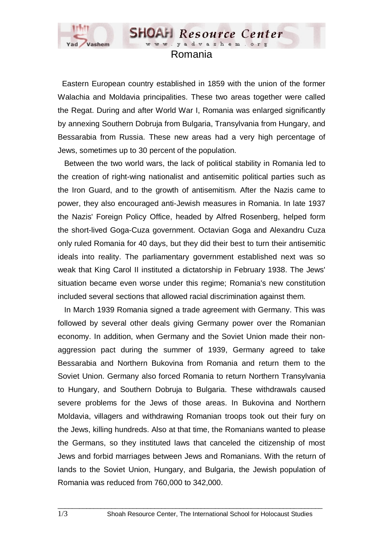

## Romania

**SHOAH** Resource Center www.yadvashem.o

 Eastern European country established in 1859 with the union of the former Walachia and Moldavia principalities. These two areas together were called the Regat. During and after World War I, Romania was enlarged significantly by annexing Southern Dobruja from Bulgaria, Transylvania from Hungary, and Bessarabia from Russia. These new areas had a very high percentage of Jews, sometimes up to 30 percent of the population.

 Between the two world wars, the lack of political stability in Romania led to the creation of right-wing nationalist and antisemitic political parties such as the Iron Guard, and to the growth of antisemitism. After the Nazis came to power, they also encouraged anti-Jewish measures in Romania. In late 1937 the Nazis' Foreign Policy Office, headed by Alfred Rosenberg, helped form the short-lived Goga-Cuza government. Octavian Goga and Alexandru Cuza only ruled Romania for 40 days, but they did their best to turn their antisemitic ideals into reality. The parliamentary government established next was so weak that King Carol II instituted a dictatorship in February 1938. The Jews' situation became even worse under this regime; Romania's new constitution included several sections that allowed racial discrimination against them.

 In March 1939 Romania signed a trade agreement with Germany. This was followed by several other deals giving Germany power over the Romanian economy. In addition, when Germany and the Soviet Union made their nonaggression pact during the summer of 1939, Germany agreed to take Bessarabia and Northern Bukovina from Romania and return them to the Soviet Union. Germany also forced Romania to return Northern Transylvania to Hungary, and Southern Dobruja to Bulgaria. These withdrawals caused severe problems for the Jews of those areas. In Bukovina and Northern Moldavia, villagers and withdrawing Romanian troops took out their fury on the Jews, killing hundreds. Also at that time, the Romanians wanted to please the Germans, so they instituted laws that canceled the citizenship of most Jews and forbid marriages between Jews and Romanians. With the return of lands to the Soviet Union, Hungary, and Bulgaria, the Jewish population of Romania was reduced from 760,000 to 342,000.

 $\_$  ,  $\_$  ,  $\_$  ,  $\_$  ,  $\_$  ,  $\_$  ,  $\_$  ,  $\_$  ,  $\_$  ,  $\_$  ,  $\_$  ,  $\_$  ,  $\_$  ,  $\_$  ,  $\_$  ,  $\_$  ,  $\_$  ,  $\_$  ,  $\_$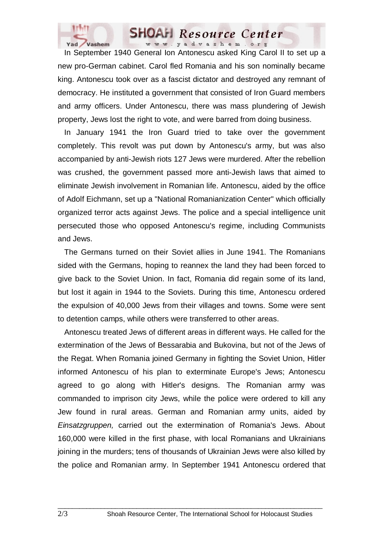

## **SHOAH** Resource Center www.yadvashem.org

 In September 1940 General Ion Antonescu asked King Carol II to set up a new pro-German cabinet. Carol fled Romania and his son nominally became king. Antonescu took over as a fascist dictator and destroyed any remnant of democracy. He instituted a government that consisted of Iron Guard members and army officers. Under Antonescu, there was mass plundering of Jewish property, Jews lost the right to vote, and were barred from doing business.

 In January 1941 the Iron Guard tried to take over the government completely. This revolt was put down by Antonescu's army, but was also accompanied by anti-Jewish riots 127 Jews were murdered. After the rebellion was crushed, the government passed more anti-Jewish laws that aimed to eliminate Jewish involvement in Romanian life. Antonescu, aided by the office of Adolf Eichmann, set up a "National Romanianization Center" which officially organized terror acts against Jews. The police and a special intelligence unit persecuted those who opposed Antonescu's regime, including Communists and Jews.

 The Germans turned on their Soviet allies in June 1941. The Romanians sided with the Germans, hoping to reannex the land they had been forced to give back to the Soviet Union. In fact, Romania did regain some of its land, but lost it again in 1944 to the Soviets. During this time, Antonescu ordered the expulsion of 40,000 Jews from their villages and towns. Some were sent to detention camps, while others were transferred to other areas.

 Antonescu treated Jews of different areas in different ways. He called for the extermination of the Jews of Bessarabia and Bukovina, but not of the Jews of the Regat. When Romania joined Germany in fighting the Soviet Union, Hitler informed Antonescu of his plan to exterminate Europe's Jews; Antonescu agreed to go along with Hitler's designs. The Romanian army was commanded to imprison city Jews, while the police were ordered to kill any Jew found in rural areas. German and Romanian army units, aided by *Einsatzgruppen,* carried out the extermination of Romania's Jews. About 160,000 were killed in the first phase, with local Romanians and Ukrainians joining in the murders; tens of thousands of Ukrainian Jews were also killed by the police and Romanian army. In September 1941 Antonescu ordered that

 $\_$  ,  $\_$  ,  $\_$  ,  $\_$  ,  $\_$  ,  $\_$  ,  $\_$  ,  $\_$  ,  $\_$  ,  $\_$  ,  $\_$  ,  $\_$  ,  $\_$  ,  $\_$  ,  $\_$  ,  $\_$  ,  $\_$  ,  $\_$  ,  $\_$